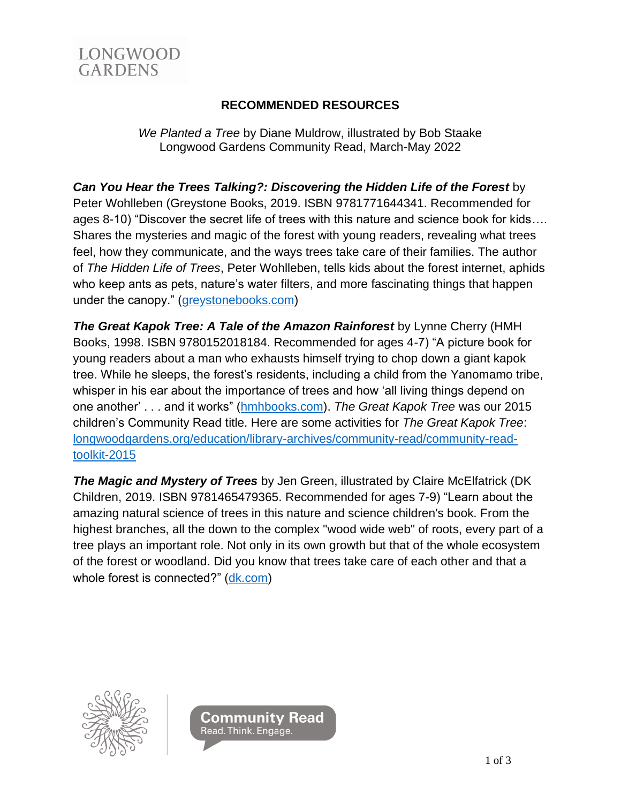

## **RECOMMENDED RESOURCES**

*We Planted a Tree* by Diane Muldrow, illustrated by Bob Staake Longwood Gardens Community Read, March-May 2022

## *Can You Hear the Trees Talking?: Discovering the Hidden Life of the Forest* by

Peter Wohlleben (Greystone Books, 2019. ISBN 9781771644341. Recommended for ages 8-10) "Discover the secret life of trees with this nature and science book for kids…. Shares the mysteries and magic of the forest with young readers, revealing what trees feel, how they communicate, and the ways trees take care of their families. The author of *The Hidden Life of Trees*, Peter Wohlleben, tells kids about the forest internet, aphids who keep ants as pets, nature's water filters, and more fascinating things that happen under the canopy." [\(greystonebooks.com\)](http://www.greystonebooks.com/)

*The Great Kapok Tree: A Tale of the Amazon Rainforest* by Lynne Cherry (HMH Books, 1998. ISBN 9780152018184. Recommended for ages 4-7) "A picture book for young readers about a man who exhausts himself trying to chop down a giant kapok tree. While he sleeps, the forest's residents, including a child from the Yanomamo tribe, whisper in his ear about the importance of trees and how 'all living things depend on one another' . . . and it works" [\(hmhbooks.com\)](http://www.hmhbooks.com/). *The Great Kapok Tree* was our 2015 children's Community Read title. Here are some activities for *The Great Kapok Tree*: [longwoodgardens.org/education/library-archives/community-read/community-read](https://longwoodgardens.org/education/library-archives/community-read/community-read-toolkit-2015)[toolkit-2015](https://longwoodgardens.org/education/library-archives/community-read/community-read-toolkit-2015)

*The Magic and Mystery of Trees* by Jen Green, illustrated by Claire McElfatrick (DK Children, 2019. ISBN 9781465479365. Recommended for ages 7-9) "Learn about the amazing natural science of trees in this nature and science children's book. From the highest branches, all the down to the complex "wood wide web" of roots, every part of a tree plays an important role. Not only in its own growth but that of the whole ecosystem of the forest or woodland. Did you know that trees take care of each other and that a whole forest is connected?" [\(dk.com\)](http://www.dk.com/)



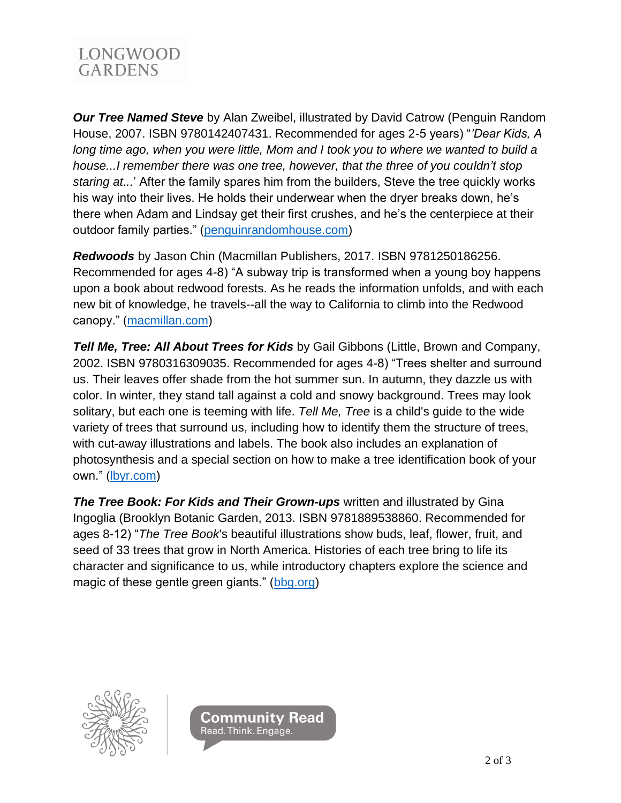

*Our Tree Named Steve* by Alan Zweibel, illustrated by David Catrow (Penguin Random House, 2007. ISBN 9780142407431. Recommended for ages 2-5 years) "*'Dear Kids, A long time ago, when you were little, Mom and I took you to where we wanted to build a house...I remember there was one tree, however, that the three of you couldn't stop staring at...*' After the family spares him from the builders, Steve the tree quickly works his way into their lives. He holds their underwear when the dryer breaks down, he's there when Adam and Lindsay get their first crushes, and he's the centerpiece at their outdoor family parties." [\(penguinrandomhouse.com\)](http://www.penguinrandomhouse.com/)

*Redwoods* by Jason Chin (Macmillan Publishers, 2017. ISBN 9781250186256. Recommended for ages 4-8) "A subway trip is transformed when a young boy happens upon a book about redwood forests. As he reads the information unfolds, and with each new bit of knowledge, he travels--all the way to California to climb into the Redwood canopy." [\(macmillan.com\)](http://www.macmillan.com/)

*Tell Me, Tree: All About Trees for Kids* by Gail Gibbons (Little, Brown and Company, 2002. ISBN 9780316309035. Recommended for ages 4-8) "Trees shelter and surround us. Their leaves offer shade from the hot summer sun. In autumn, they dazzle us with color. In winter, they stand tall against a cold and snowy background. Trees may look solitary, but each one is teeming with life. *Tell Me, Tree* is a child's guide to the wide variety of trees that surround us, including how to identify them the structure of trees, with cut-away illustrations and labels. The book also includes an explanation of photosynthesis and a special section on how to make a tree identification book of your own." [\(lbyr.com\)](http://www.lbyr.com/)

*The Tree Book: For Kids and Their Grown-ups* written and illustrated by Gina Ingoglia (Brooklyn Botanic Garden, 2013. ISBN 9781889538860. Recommended for ages 8-12) "*The Tree Book*'s beautiful illustrations show buds, leaf, flower, fruit, and seed of 33 trees that grow in North America. Histories of each tree bring to life its character and significance to us, while introductory chapters explore the science and magic of these gentle green giants." [\(bbg.org\)](http://www.bbg.org/)